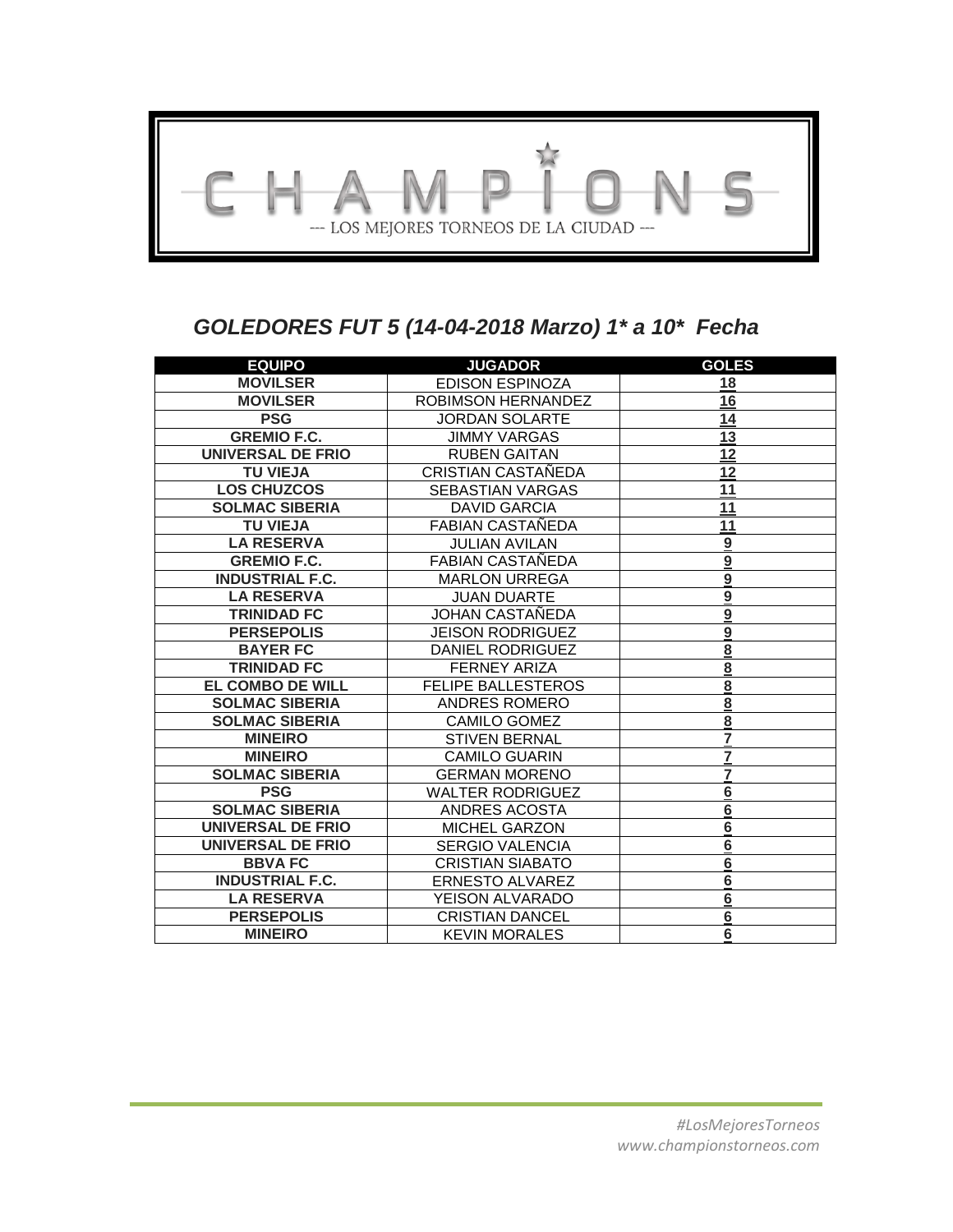

# *GOLEDORES FUT 5 (14-04-2018 Marzo) 1\* a 10\* Fecha*

| <b>EQUIPO</b>            | <b>JUGADOR</b>            | <b>GOLES</b>            |
|--------------------------|---------------------------|-------------------------|
| <b>MOVILSER</b>          | <b>EDISON ESPINOZA</b>    | 18                      |
| <b>MOVILSER</b>          | ROBIMSON HERNANDEZ        | 16                      |
| <b>PSG</b>               | <b>JORDAN SOLARTE</b>     | 14                      |
| <b>GREMIO F.C.</b>       | <b>JIMMY VARGAS</b>       | 13                      |
| <b>UNIVERSAL DE FRIO</b> | <b>RUBEN GAITAN</b>       | 12                      |
| <b>TU VIEJA</b>          | CRISTIAN CASTAÑEDA        | 12                      |
| <b>LOS CHUZCOS</b>       | <b>SEBASTIAN VARGAS</b>   | 11                      |
| <b>SOLMAC SIBERIA</b>    | <b>DAVID GARCIA</b>       | 11                      |
| <b>TU VIEJA</b>          | <b>FABIAN CASTANEDA</b>   | 11                      |
| <b>LA RESERVA</b>        | <b>JULIAN AVILAN</b>      | $\boldsymbol{9}$        |
| <b>GREMIO F.C.</b>       | FABIAN CASTAÑEDA          | $\overline{9}$          |
| <b>INDUSTRIAL F.C.</b>   | <b>MARLON URREGA</b>      | $\mathbf{9}$            |
| <b>LA RESERVA</b>        | <b>JUAN DUARTE</b>        | $\overline{9}$          |
| <b>TRINIDAD FC</b>       | JOHAN CASTAÑEDA           | $\overline{9}$          |
| <b>PERSEPOLIS</b>        | <b>JEISON RODRIGUEZ</b>   | $\boldsymbol{9}$        |
| <b>BAYER FC</b>          | DANIEL RODRIGUEZ          | 8                       |
| <b>TRINIDAD FC</b>       | <b>FERNEY ARIZA</b>       | $\overline{8}$          |
| <b>EL COMBO DE WILL</b>  | <b>FELIPE BALLESTEROS</b> | $\overline{8}$          |
| <b>SOLMAC SIBERIA</b>    | <b>ANDRES ROMERO</b>      | $\overline{8}$          |
| <b>SOLMAC SIBERIA</b>    | <b>CAMILO GOMEZ</b>       | $\overline{\mathbf{8}}$ |
| <b>MINEIRO</b>           | <b>STIVEN BERNAL</b>      | 7                       |
| <b>MINEIRO</b>           | <b>CAMILO GUARIN</b>      | 7                       |
| <b>SOLMAC SIBERIA</b>    | <b>GERMAN MORENO</b>      | 7                       |
| <b>PSG</b>               | <b>WALTER RODRIGUEZ</b>   | 6                       |
| <b>SOLMAC SIBERIA</b>    | <b>ANDRES ACOSTA</b>      | $\overline{6}$          |
| <b>UNIVERSAL DE FRIO</b> | MICHEL GARZON             | $6\phantom{1}6$         |
| <b>UNIVERSAL DE FRIO</b> | <b>SERGIO VALENCIA</b>    | $6\phantom{1}6$         |
| <b>BBVAFC</b>            | <b>CRISTIAN SIABATO</b>   | $6\phantom{1}6$         |
| <b>INDUSTRIAL F.C.</b>   | <b>ERNESTO ALVAREZ</b>    | $\overline{6}$          |
| <b>LA RESERVA</b>        | <b>YEISON ALVARADO</b>    | $6\phantom{1}6$         |
| <b>PERSEPOLIS</b>        | <b>CRISTIAN DANCEL</b>    | $6\phantom{1}6$         |
| <b>MINEIRO</b>           | <b>KEVIN MORALES</b>      | 6                       |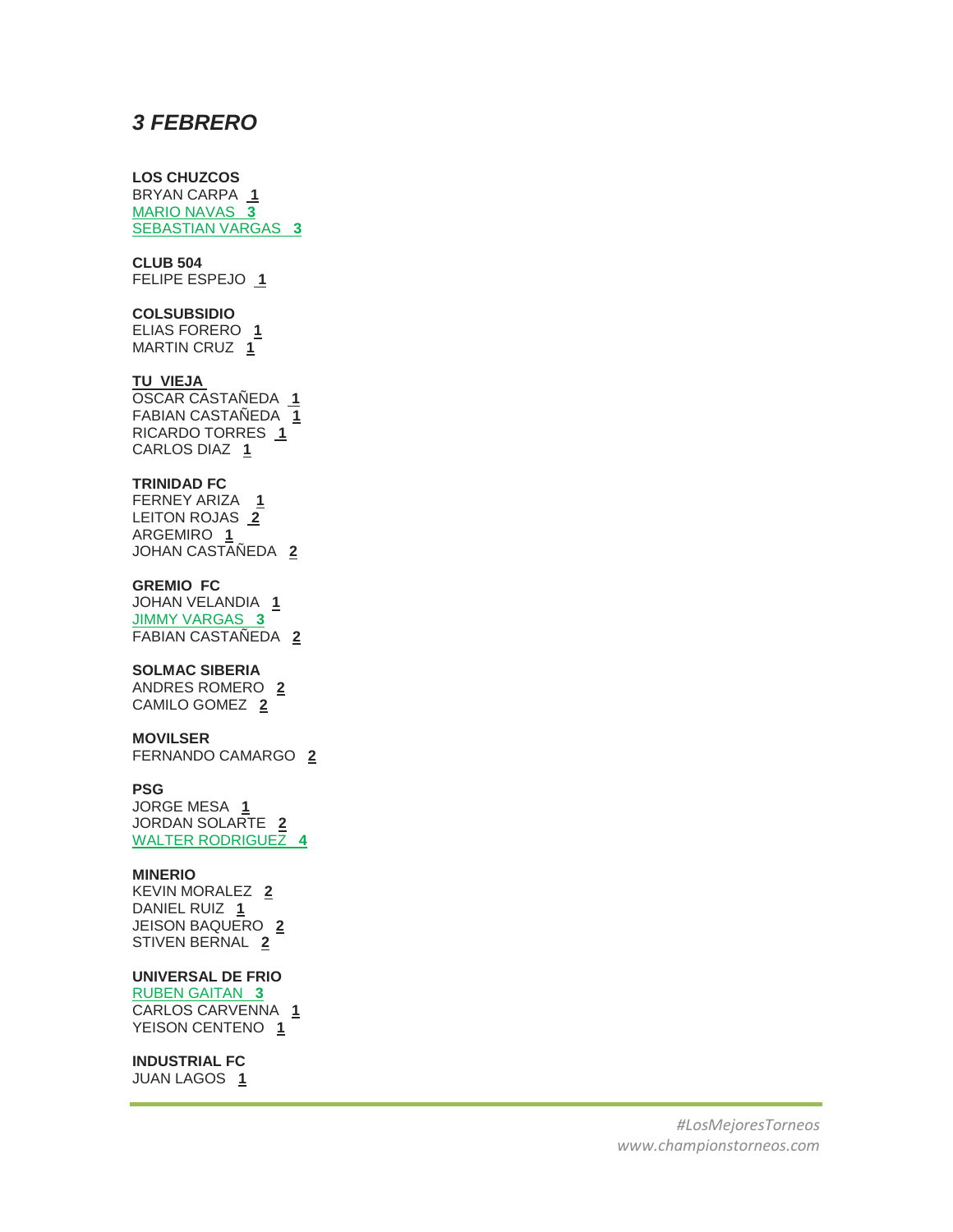## *3 FEBRERO*

## **LOS CHUZCOS**

BRYAN CARPA **1** MARIO NAVAS **3** SEBASTIAN VARGAS **3**

## **CLUB 504**

FELIPE ESPEJO **1**

## **COLSUBSIDIO**

ELIAS FORERO **1** MARTIN CRUZ **1**

## **TU VIEJA**

OSCAR CASTAÑEDA **1** FABIAN CASTAÑEDA **1** RICARDO TORRES **1** CARLOS DIAZ **1**

#### **TRINIDAD FC**

FERNEY ARIZA **1** LEITON ROJAS **2** ARGEMIRO **1** JOHAN CASTAÑEDA **2**

### **GREMIO FC**

JOHAN VELANDIA **1** JIMMY VARGAS **3** FABIAN CASTAÑEDA **2**

## **SOLMAC SIBERIA**

ANDRES ROMERO **2** CAMILO GOMEZ **2**

#### **MOVILSER**

FERNANDO CAMARGO **2**

## **PSG**

JORGE MESA **1** JORDAN SOLARTE **2** WALTER RODRIGUEZ **4**

#### **MINERIO**

KEVIN MORALEZ **2** DANIEL RUIZ **1** JEISON BAQUERO **2** STIVEN BERNAL **2**

## **UNIVERSAL DE FRIO**

RUBEN GAITAN **3** CARLOS CARVENNA **1** YEISON CENTENO **1**

## **INDUSTRIAL FC**

JUAN LAGOS **1**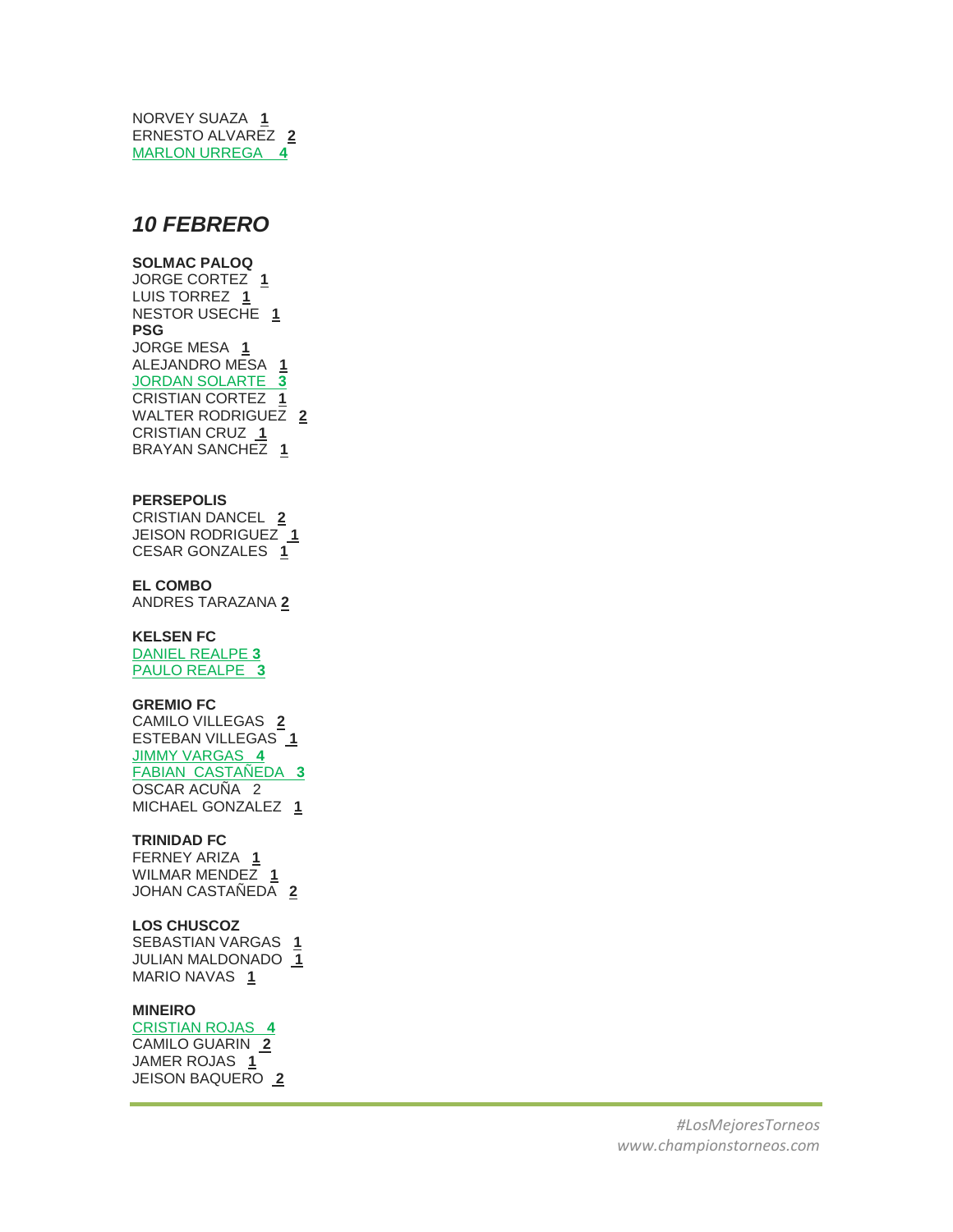NORVEY SUAZA **1** ERNESTO ALVAREZ **2** MARLON URREGA **4**

## *10 FEBRERO*

### **SOLMAC PALOQ**

JORGE CORTEZ **1** LUIS TORREZ **1** NESTOR USECHE **1 PSG** JORGE MESA **1** ALEJANDRO MESA **1** JORDAN SOLARTE **3** CRISTIAN CORTEZ **1** WALTER RODRIGUEZ **2** CRISTIAN CRUZ **1** BRAYAN SANCHEZ **1**

#### **PERSEPOLIS**

CRISTIAN DANCEL **2** JEISON RODRIGUEZ **1** CESAR GONZALES **1**

## **EL COMBO**

ANDRES TARAZANA **2**

### **KELSEN FC**

DANIEL REALPE **3** PAULO REALPE **3**

## **GREMIO FC**

CAMILO VILLEGAS **2** ESTEBAN VILLEGAS **1** JIMMY VARGAS **4** FABIAN CASTAÑEDA **3** OSCAR ACUÑA 2 MICHAEL GONZALEZ **1**

## **TRINIDAD FC**

FERNEY ARIZA **1** WILMAR MENDEZ **1** JOHAN CASTAÑEDA **2**

## **LOS CHUSCOZ**

SEBASTIAN VARGAS **1** JULIAN MALDONADO **1** MARIO NAVAS **1**

## **MINEIRO**

CRISTIAN ROJAS **4** CAMILO GUARIN **2** JAMER ROJAS **1** JEISON BAQUERO **2**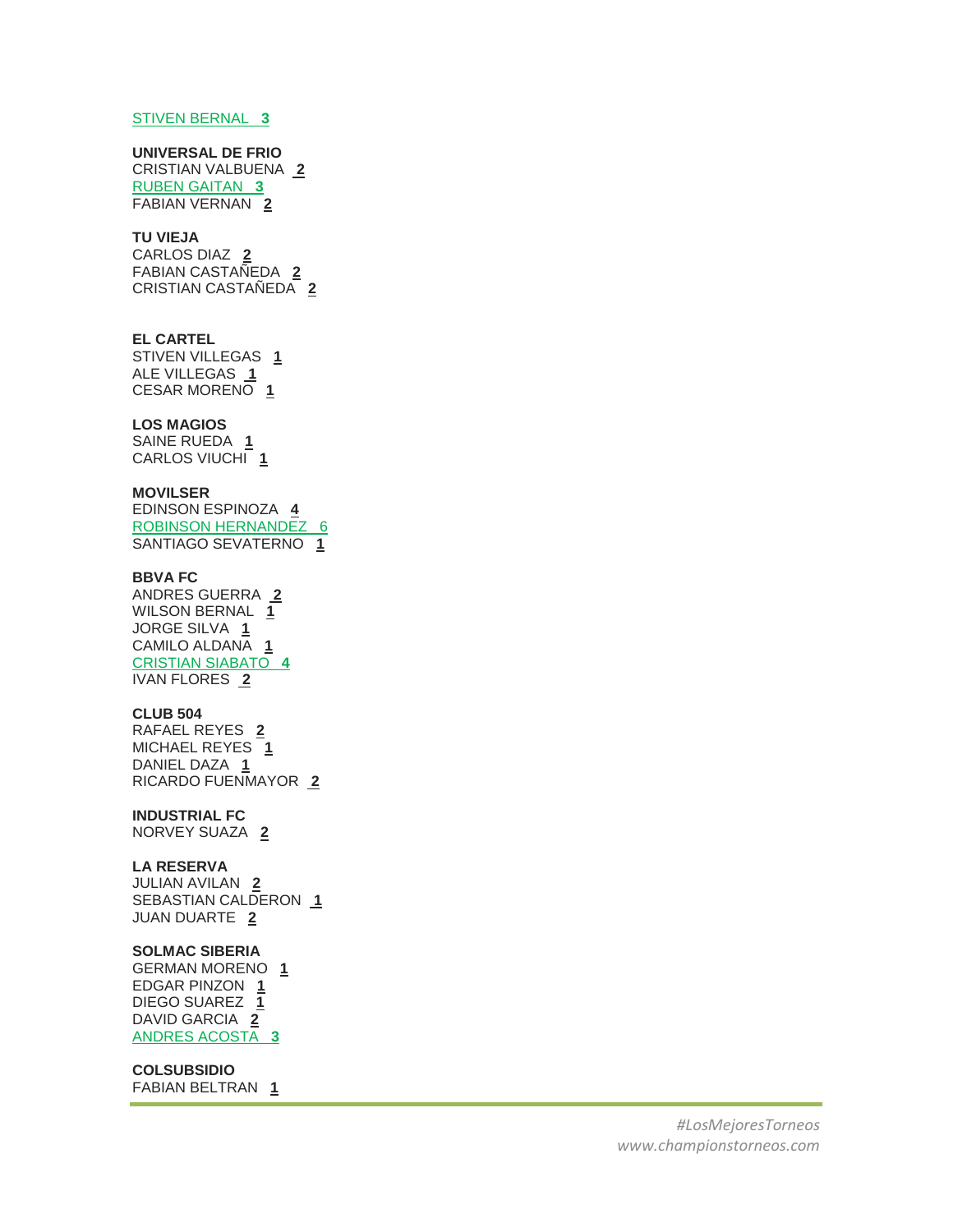#### STIVEN BERNAL **3**

## **UNIVERSAL DE FRIO**

CRISTIAN VALBUENA **2** RUBEN GAITAN **3** FABIAN VERNAN **2**

## **TU VIEJA**

CARLOS DIAZ **2** FABIAN CASTAÑEDA **2** CRISTIAN CASTAÑEDA **2**

#### **EL CARTEL**

STIVEN VILLEGAS **1** ALE VILLEGAS **1** CESAR MORENO **1**

## **LOS MAGIOS**

SAINE RUEDA **1** CARLOS VIUCHI **1**

#### **MOVILSER**

EDINSON ESPINOZA **4** ROBINSON HERNANDEZ 6 SANTIAGO SEVATERNO **1**

## **BBVA FC**

ANDRES GUERRA **2** WILSON BERNAL **1** JORGE SILVA **1** CAMILO ALDANA **1** CRISTIAN SIABATO **4** IVAN FLORES **2**

#### **CLUB 504**

RAFAEL REYES **2** MICHAEL REYES **1** DANIEL DAZA **1** RICARDO FUENMAYOR **2**

## **INDUSTRIAL FC**

NORVEY SUAZA **2**

#### **LA RESERVA**

JULIAN AVILAN **2** SEBASTIAN CALDERON **1** JUAN DUARTE **2**

## **SOLMAC SIBERIA**

GERMAN MORENO **1** EDGAR PINZON **1** DIEGO SUAREZ **1** DAVID GARCIA **2** ANDRES ACOSTA **3**

## **COLSUBSIDIO**

FABIAN BELTRAN **1**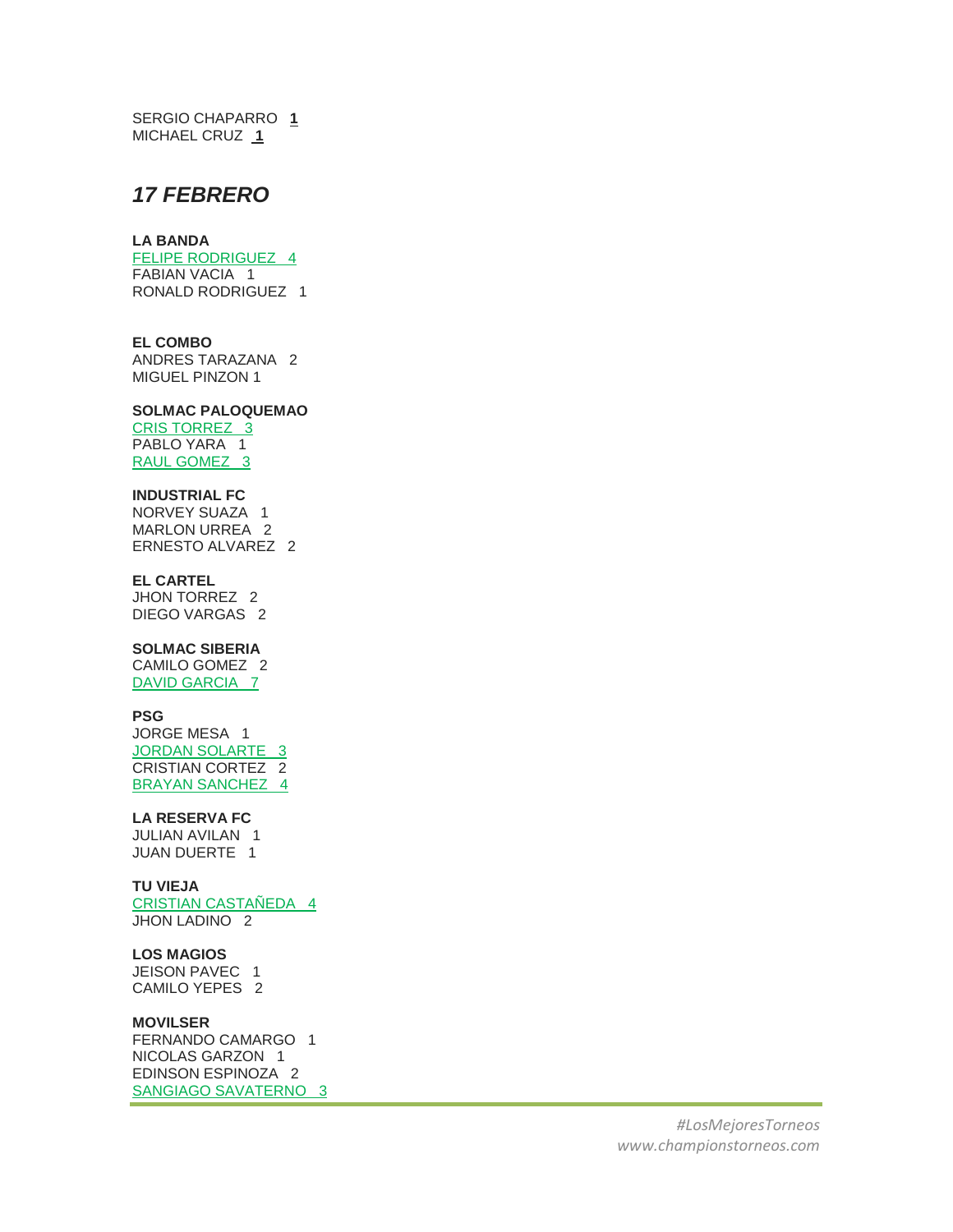SERGIO CHAPARRO **1** MICHAEL CRUZ **1**

## *17 FEBRERO*

#### **LA BANDA**

FELIPE RODRIGUEZ 4 FABIAN VACIA 1 RONALD RODRIGUEZ 1

## **EL COMBO**

ANDRES TARAZANA 2 MIGUEL PINZON 1

## **SOLMAC PALOQUEMAO**

CRIS TORREZ 3 PABLO YARA 1 RAUL GOMEZ 3

## **INDUSTRIAL FC**

NORVEY SUAZA 1 MARLON URREA 2 ERNESTO ALVAREZ 2

## **EL CARTEL**

JHON TORREZ 2 DIEGO VARGAS 2

## **SOLMAC SIBERIA**

CAMILO GOMEZ 2 DAVID GARCIA 7

## **PSG**

JORGE MESA 1 JORDAN SOLARTE 3 CRISTIAN CORTEZ 2 BRAYAN SANCHEZ 4

## **LA RESERVA FC**

JULIAN AVILAN 1 JUAN DUERTE 1

#### **TU VIEJA**

CRISTIAN CASTAÑEDA 4 JHON LADINO 2

#### **LOS MAGIOS**

JEISON PAVEC 1 CAMILO YEPES 2

#### **MOVILSER**

FERNANDO CAMARGO 1 NICOLAS GARZON 1 EDINSON ESPINOZA 2 SANGIAGO SAVATERNO 3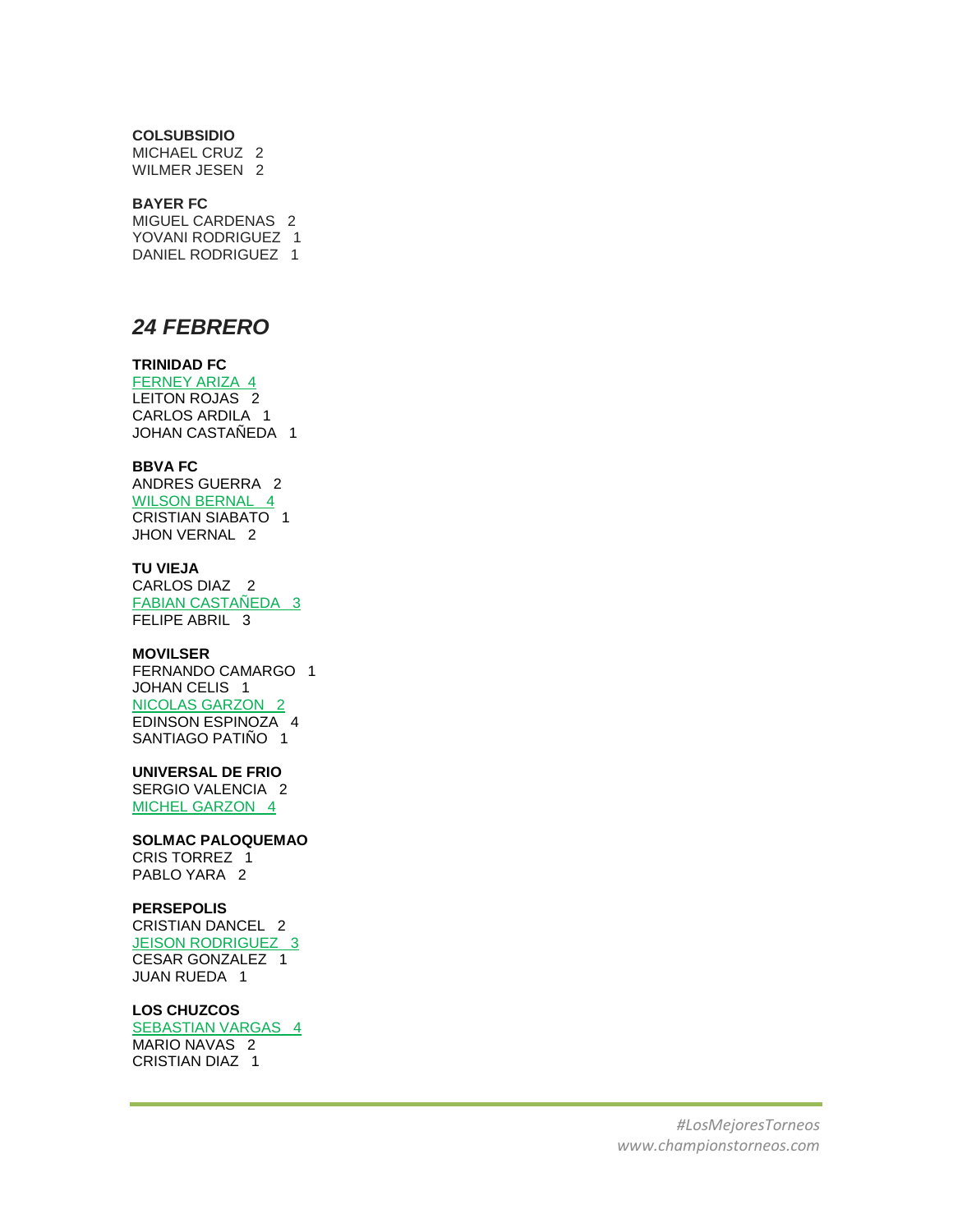#### **COLSUBSIDIO**

MICHAEL CRUZ 2 WILMER JESEN 2

## **BAYER FC**

MIGUEL CARDENAS 2 YOVANI RODRIGUEZ 1 DANIEL RODRIGUEZ 1

## *24 FEBRERO*

## **TRINIDAD FC**

FERNEY ARIZA 4 LEITON ROJAS 2 CARLOS ARDILA 1 JOHAN CASTAÑEDA 1

## **BBVA FC**

ANDRES GUERRA 2 WILSON BERNAL 4 CRISTIAN SIABATO 1 JHON VERNAL 2

## **TU VIEJA**

CARLOS DIAZ 2 FABIAN CASTAÑEDA 3 FELIPE ABRIL 3

### **MOVILSER**

FERNANDO CAMARGO 1 JOHAN CELIS 1 NICOLAS GARZON 2 EDINSON ESPINOZA 4 SANTIAGO PATIÑO 1

## **UNIVERSAL DE FRIO**

SERGIO VALENCIA 2 MICHEL GARZON 4

#### **SOLMAC PALOQUEMAO**

CRIS TORREZ 1 PABLO YARA 2

## **PERSEPOLIS**

CRISTIAN DANCEL 2 JEISON RODRIGUEZ 3 CESAR GONZALEZ 1 JUAN RUEDA 1

#### **LOS CHUZCOS**

SEBASTIAN VARGAS 4 MARIO NAVAS 2 CRISTIAN DIAZ 1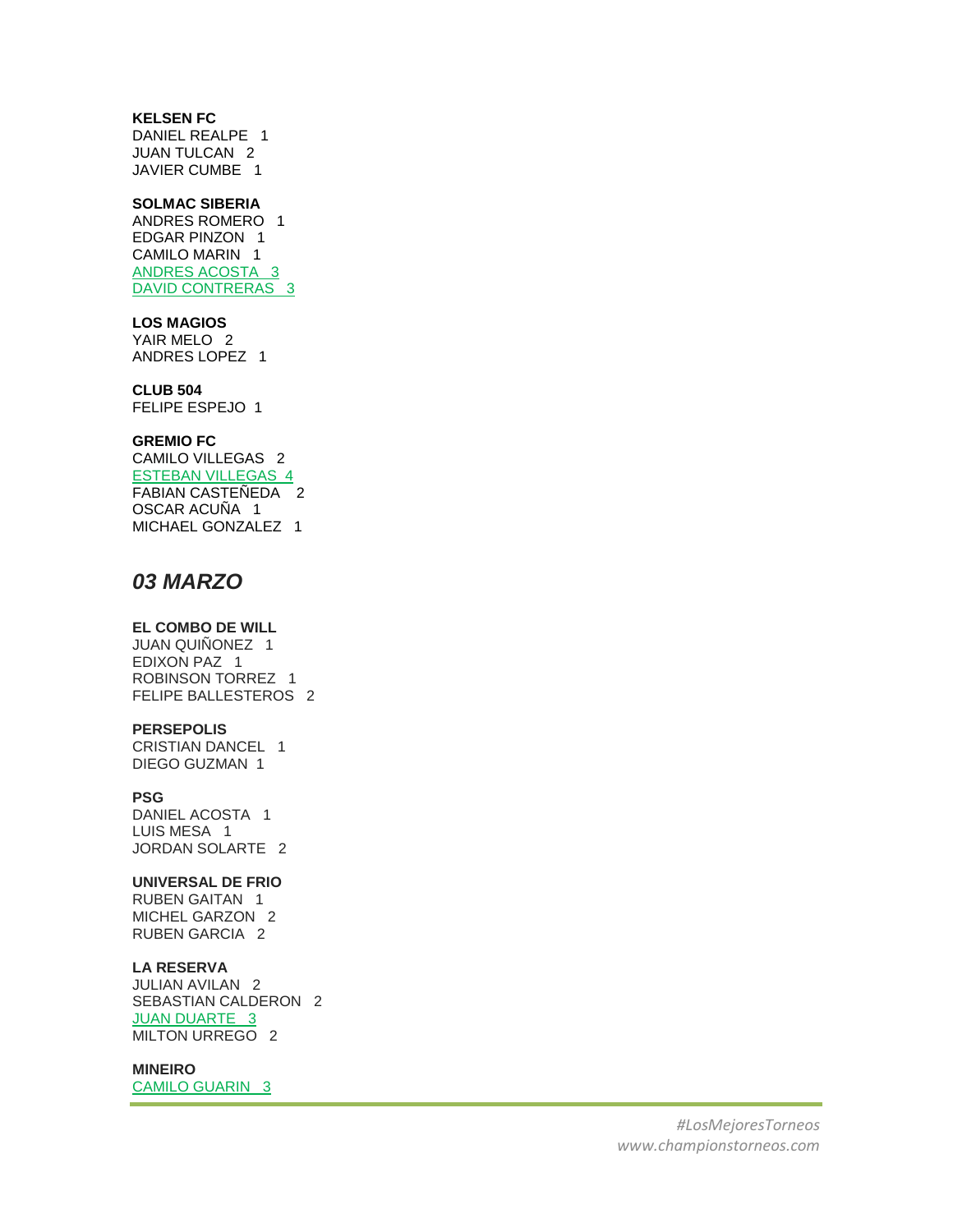## **KELSEN FC**

DANIEL REALPE 1 JUAN TULCAN 2 JAVIER CUMBE 1

## **SOLMAC SIBERIA**

ANDRES ROMERO 1 EDGAR PINZON 1 CAMILO MARIN 1 ANDRES ACOSTA 3 DAVID CONTRERAS 3

#### **LOS MAGIOS**

YAIR MELO 2 ANDRES LOPEZ 1

## **CLUB 504**

FELIPE ESPEJO 1

## **GREMIO FC**

CAMILO VILLEGAS 2 ESTEBAN VILLEGAS 4 FABIAN CASTEÑEDA 2 OSCAR ACUÑA 1 MICHAEL GONZALEZ 1

## *03 MARZO*

## **EL COMBO DE WILL**

JUAN QUIÑONEZ 1 EDIXON PAZ 1 ROBINSON TORREZ 1 FELIPE BALLESTEROS 2

#### **PERSEPOLIS**

CRISTIAN DANCEL 1 DIEGO GUZMAN 1

## **PSG**

DANIEL ACOSTA 1 LUIS MESA 1 JORDAN SOLARTE 2

## **UNIVERSAL DE FRIO**

RUBEN GAITAN 1 MICHEL GARZON 2 RUBEN GARCIA 2

## **LA RESERVA**

JULIAN AVILAN 2 SEBASTIAN CALDERON 2 **JUAN DUARTE 3** MILTON URREGO 2

## **MINEIRO**

CAMILO GUARIN 3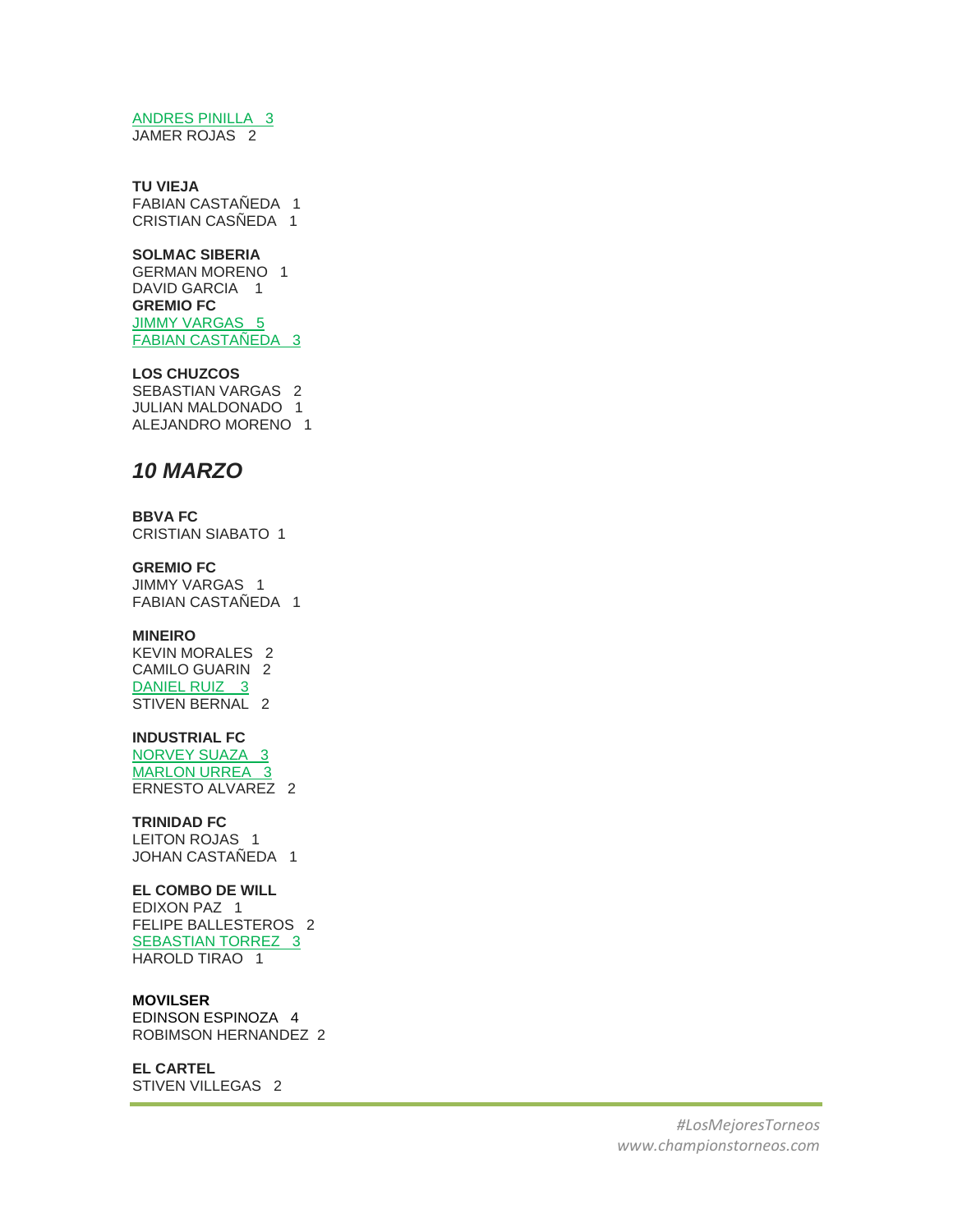## ANDRES PINILLA 3

JAMER ROJAS 2

### **TU VIEJA**

FABIAN CASTAÑEDA 1 CRISTIAN CASÑEDA 1

## **SOLMAC SIBERIA**

GERMAN MORENO 1 DAVID GARCIA 1 **GREMIO FC** JIMMY VARGAS 5 FABIAN CASTAÑEDA 3

#### **LOS CHUZCOS**

SEBASTIAN VARGAS 2 JULIAN MALDONADO 1 ALEJANDRO MORENO 1

## *10 MARZO*

**BBVA FC** CRISTIAN SIABATO 1

## **GREMIO FC**

JIMMY VARGAS 1 FABIAN CASTAÑEDA 1

### **MINEIRO**

KEVIN MORALES 2 CAMILO GUARIN 2 DANIEL RUIZ 3 STIVEN BERNAL 2

## **INDUSTRIAL FC**

NORVEY SUAZA 3 MARLON URREA 3 ERNESTO ALVAREZ 2

## **TRINIDAD FC**

LEITON ROJAS 1 JOHAN CASTAÑEDA 1

## **EL COMBO DE WILL**

EDIXON PAZ 1 FELIPE BALLESTEROS 2 SEBASTIAN TORREZ 3 HAROLD TIRAO 1

## **MOVILSER**

EDINSON ESPINOZA 4 ROBIMSON HERNANDEZ 2

## **EL CARTEL**

STIVEN VILLEGAS 2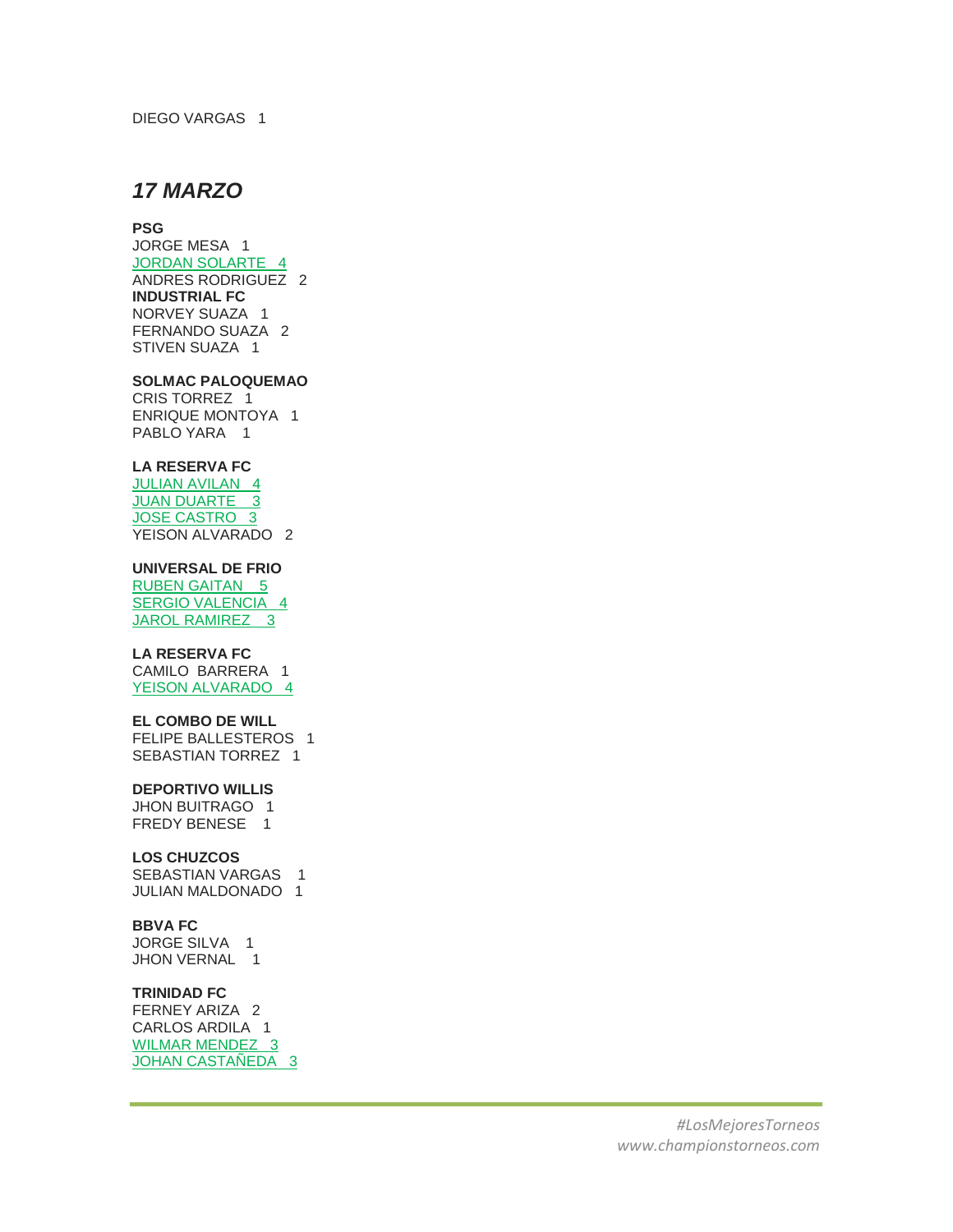DIEGO VARGAS 1

## *17 MARZO*

#### **PSG**

JORGE MESA 1 JORDAN SOLARTE 4 ANDRES RODRIGUEZ 2 **INDUSTRIAL FC** NORVEY SUAZA 1 FERNANDO SUAZA 2 STIVEN SUAZA 1

#### **SOLMAC PALOQUEMAO**

CRIS TORREZ 1 ENRIQUE MONTOYA 1 PABLO YARA 1

## **LA RESERVA FC**

JULIAN AVILAN 4 JUAN DUARTE 3 JOSE CASTRO 3 YEISON ALVARADO 2

## **UNIVERSAL DE FRIO**

RUBEN GAITAN 5 SERGIO VALENCIA 4 JAROL RAMIREZ<sub>3</sub>

## **LA RESERVA FC**

CAMILO BARRERA 1 YEISON ALVARADO 4

## **EL COMBO DE WILL**

FELIPE BALLESTEROS 1 SEBASTIAN TORREZ 1

## **DEPORTIVO WILLIS**

JHON BUITRAGO 1 FREDY BENESE 1

#### **LOS CHUZCOS**

SEBASTIAN VARGAS 1 JULIAN MALDONADO 1

## **BBVA FC**

JORGE SILVA 1 JHON VERNAL 1

## **TRINIDAD FC**

FERNEY ARIZA 2 CARLOS ARDILA 1 WILMAR MENDEZ 3 JOHAN CASTAÑEDA 3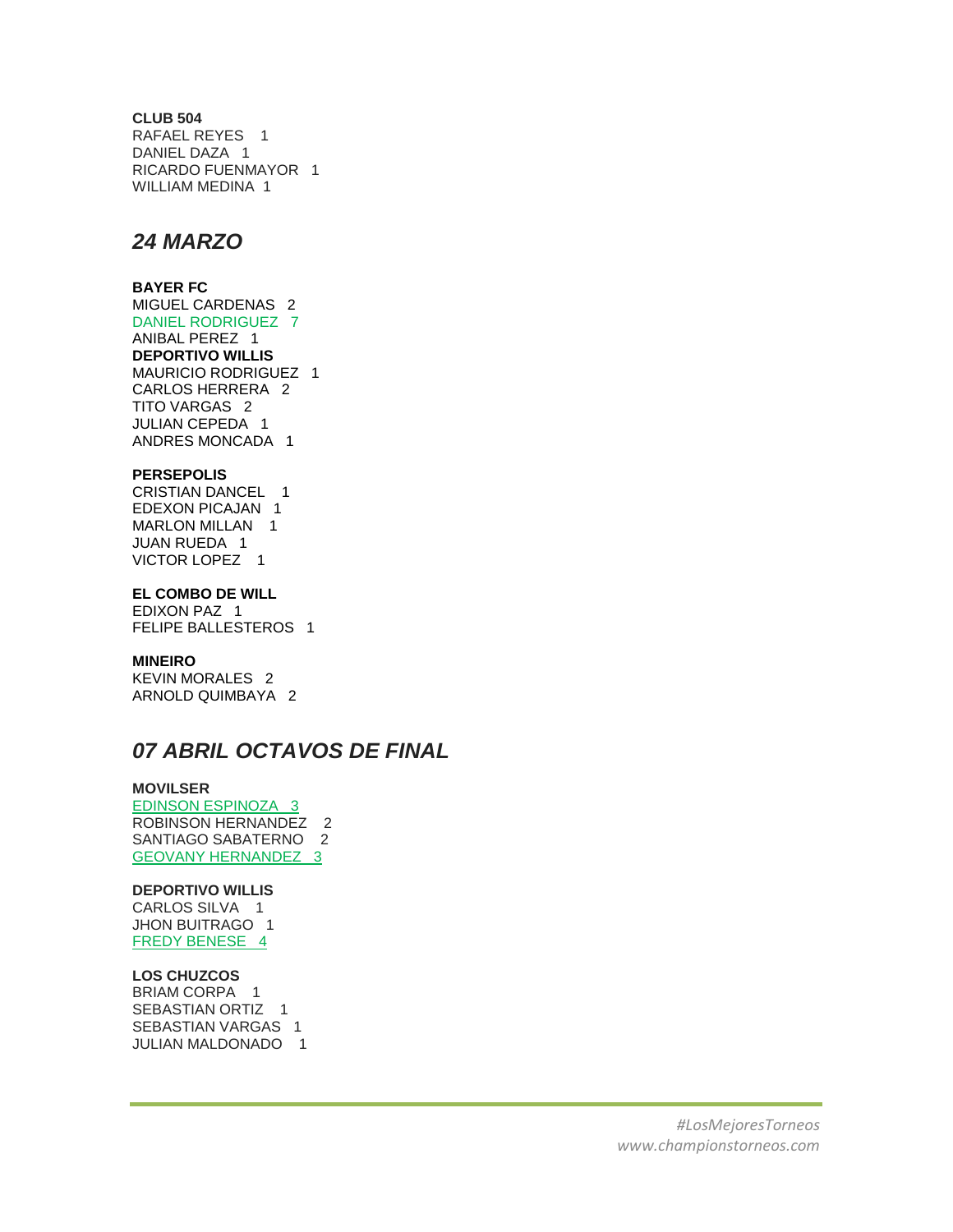## **CLUB 504**

RAFAEL REYES 1 DANIEL DAZA 1 RICARDO FUENMAYOR 1 WILLIAM MEDINA 1

## *24 MARZO*

## **BAYER FC**

MIGUEL CARDENAS 2 DANIEL RODRIGUEZ 7 ANIBAL PEREZ 1 **DEPORTIVO WILLIS**  MAURICIO RODRIGUEZ 1 CARLOS HERRERA 2 TITO VARGAS 2 JULIAN CEPEDA 1 ANDRES MONCADA 1

## **PERSEPOLIS**

CRISTIAN DANCEL 1 EDEXON PICAJAN 1 MARLON MILLAN 1 JUAN RUEDA 1 VICTOR LOPEZ 1

## **EL COMBO DE WILL**

EDIXON PAZ 1 FELIPE BALLESTEROS 1

## **MINEIRO**

KEVIN MORALES 2 ARNOLD QUIMBAYA 2

## *07 ABRIL OCTAVOS DE FINAL*

## **MOVILSER**

EDINSON ESPINOZA 3 ROBINSON HERNANDEZ 2 SANTIAGO SABATERNO 2 GEOVANY HERNANDEZ 3

## **DEPORTIVO WILLIS**

CARLOS SILVA 1 JHON BUITRAGO 1 FREDY BENESE 4

## **LOS CHUZCOS**

BRIAM CORPA 1 SEBASTIAN ORTIZ 1 SEBASTIAN VARGAS 1 JULIAN MALDONADO 1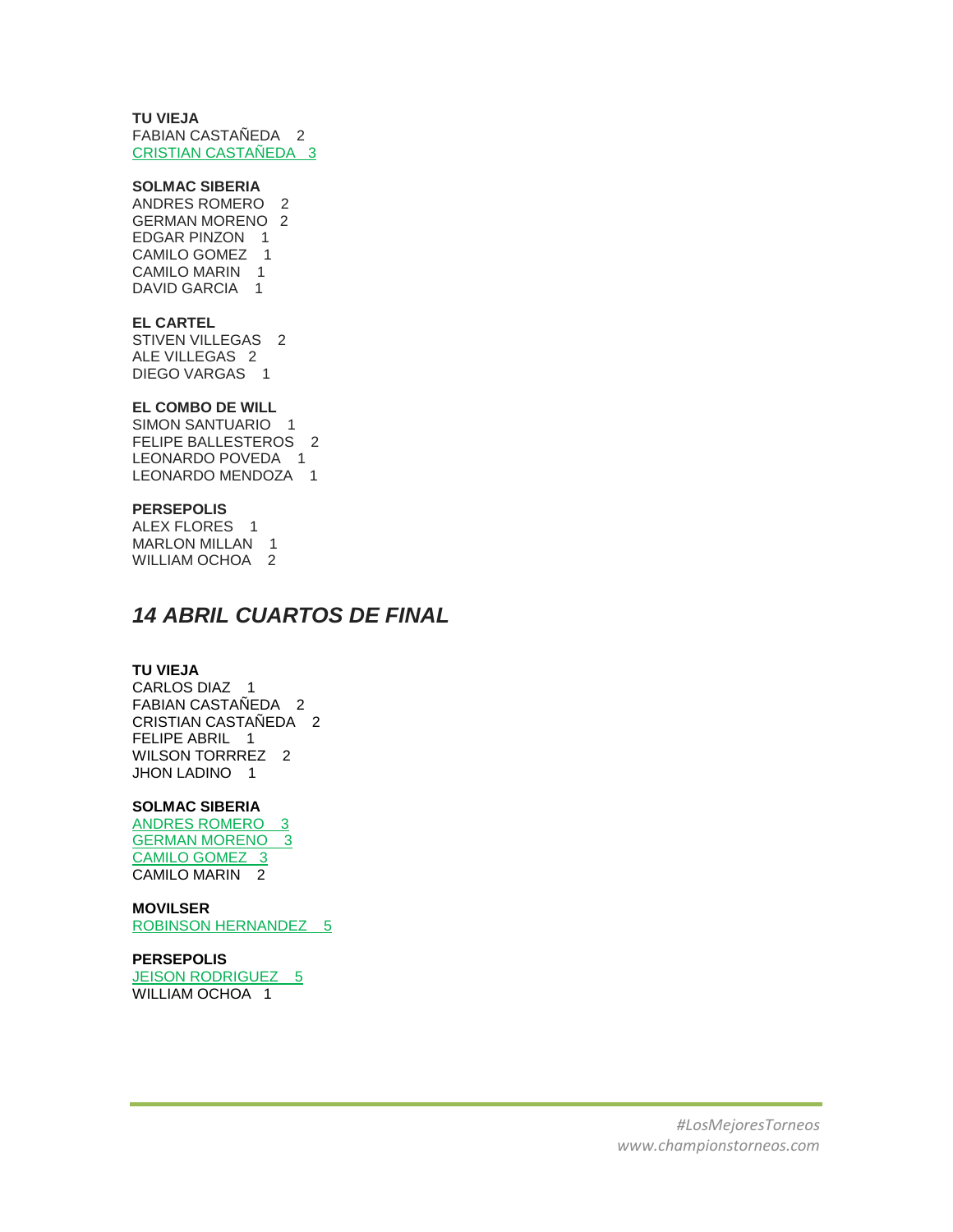## **TU VIEJA**

FABIAN CASTAÑEDA 2 CRISTIAN CASTAÑEDA 3

## **SOLMAC SIBERIA**

ANDRES ROMERO 2 GERMAN MORENO 2 EDGAR PINZON 1 CAMILO GOMEZ 1 CAMILO MARIN 1 DAVID GARCIA 1

#### **EL CARTEL**

STIVEN VILLEGAS 2 ALE VILLEGAS 2 DIEGO VARGAS 1

## **EL COMBO DE WILL**

SIMON SANTUARIO 1 FELIPE BALLESTEROS 2 LEONARDO POVEDA 1 LEONARDO MENDOZA 1

#### **PERSEPOLIS**

ALEX FLORES 1 MARLON MILLAN 1 WILLIAM OCHOA 2

## *14 ABRIL CUARTOS DE FINAL*

### **TU VIEJA**

CARLOS DIAZ 1 FABIAN CASTAÑEDA 2 CRISTIAN CASTAÑEDA 2 FELIPE ABRIL 1 WILSON TORRREZ 2 JHON LADINO 1

## **SOLMAC SIBERIA**

ANDRES ROMERO 3 GERMAN MORENO 3 CAMILO GOMEZ 3 CAMILO MARIN 2

## **MOVILSER**

ROBINSON HERNANDEZ 5

#### **PERSEPOLIS**

JEISON RODRIGUEZ 5 WILLIAM OCHOA 1